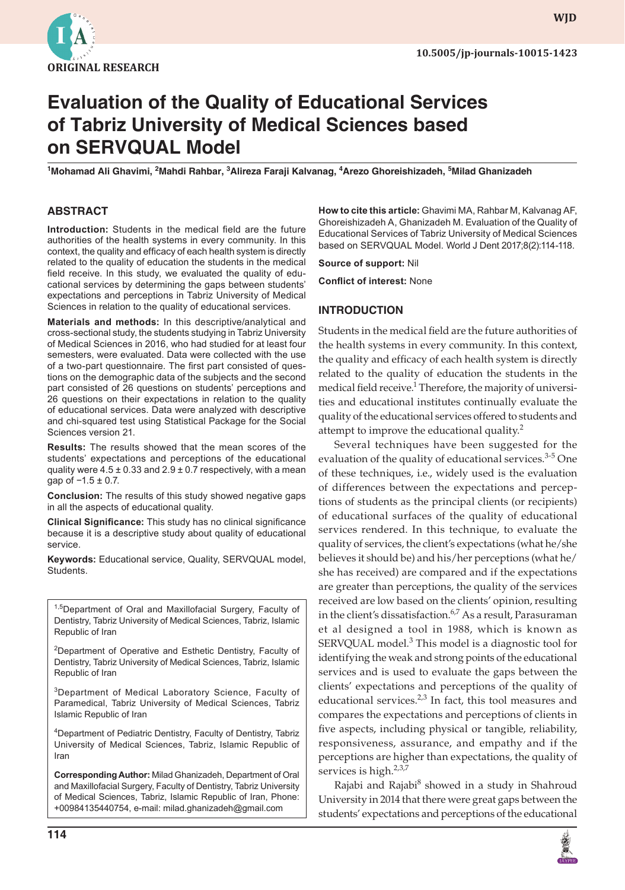

**WJD**

# **Evaluation of the Quality of Educational Services of Tabriz University of Medical Sciences based on SERVQUAL Model**

<sup>1</sup>Mohamad Ali Ghavimi, <sup>2</sup>Mahdi Rahbar, <sup>3</sup>Alireza Faraji Kalvanag, <sup>4</sup>Arezo Ghoreishizadeh, <sup>5</sup>Milad Ghanizadeh

#### **ABSTRACT**

**Introduction:** Students in the medical field are the future authorities of the health systems in every community. In this context, the quality and efficacy of each health system is directly related to the quality of education the students in the medical field receive. In this study, we evaluated the quality of educational services by determining the gaps between students' expectations and perceptions in Tabriz University of Medical Sciences in relation to the quality of educational services.

**Materials and methods:** In this descriptive/analytical and cross-sectional study, the students studying in Tabriz University of Medical Sciences in 2016, who had studied for at least four semesters, were evaluated. Data were collected with the use of a two-part questionnaire. The first part consisted of questions on the demographic data of the subjects and the second part consisted of 26 questions on students' perceptions and 26 questions on their expectations in relation to the quality of educational services. Data were analyzed with descriptive and chi-squared test using Statistical Package for the Social Sciences version 21.

**Results:** The results showed that the mean scores of the students' expectations and perceptions of the educational quality were  $4.5 \pm 0.33$  and  $2.9 \pm 0.7$  respectively, with a mean qap of  $-1.5 \pm 0.7$ .

**Conclusion:** The results of this study showed negative gaps in all the aspects of educational quality.

**Clinical Significance:** This study has no clinical significance because it is a descriptive study about quality of educational service.

**Keywords:** Educational service, Quality, SERVQUAL model, Students.

1,5Department of Oral and Maxillofacial Surgery, Faculty of Dentistry, Tabriz University of Medical Sciences, Tabriz, Islamic Republic of Iran

<sup>2</sup>Department of Operative and Esthetic Dentistry, Faculty of Dentistry, Tabriz University of Medical Sciences, Tabriz, Islamic Republic of Iran

<sup>3</sup>Department of Medical Laboratory Science, Faculty of Paramedical, Tabriz University of Medical Sciences, Tabriz Islamic Republic of Iran

4 Department of Pediatric Dentistry, Faculty of Dentistry, Tabriz University of Medical Sciences, Tabriz, Islamic Republic of Iran

**Corresponding Author:** Milad Ghanizadeh, Department of Oral and Maxillofacial Surgery, Faculty of Dentistry, Tabriz University of Medical Sciences, Tabriz, Islamic Republic of Iran, Phone: +00984135440754, e-mail: milad.ghanizadeh@gmail.com

**How to cite this article:** Ghavimi MA, Rahbar M, Kalvanag AF, Ghoreishizadeh A, Ghanizadeh M. Evaluation of the Quality of Educational Services of Tabriz University of Medical Sciences based on SERVQUAL Model. World J Dent 2017;8(2):114-118.

**Source of support:** Nil

**Conflict of interest:** None

#### **INTRODUCTION**

Students in the medical field are the future authorities of the health systems in every community. In this context, the quality and efficacy of each health system is directly related to the quality of education the students in the medical field receive.<sup>1</sup> Therefore, the majority of universities and educational institutes continually evaluate the quality of the educational services offered to students and attempt to improve the educational quality. $2^2$ 

Several techniques have been suggested for the evaluation of the quality of educational services.<sup>3-5</sup> One of these techniques, i.e., widely used is the evaluation of differences between the expectations and perceptions of students as the principal clients (or recipients) of educational surfaces of the quality of educational services rendered. In this technique, to evaluate the quality of services, the client's expectations (what he/she believes it should be) and his/her perceptions (what he/ she has received) are compared and if the expectations are greater than perceptions, the quality of the services received are low based on the clients' opinion, resulting in the client's dissatisfaction.<sup>6,7</sup> As a result, Parasuraman et al designed a tool in 1988, which is known as SERVQUAL model.<sup>3</sup> This model is a diagnostic tool for identifying the weak and strong points of the educational services and is used to evaluate the gaps between the clients' expectations and perceptions of the quality of educational services. $2,3$  In fact, this tool measures and compares the expectations and perceptions of clients in five aspects, including physical or tangible, reliability, responsiveness, assurance, and empathy and if the perceptions are higher than expectations, the quality of services is high.<sup>2,3,7</sup>

Rajabi and Rajabi $^8$  showed in a study in Shahroud University in 2014 that there were great gaps between the students' expectations and perceptions of the educational

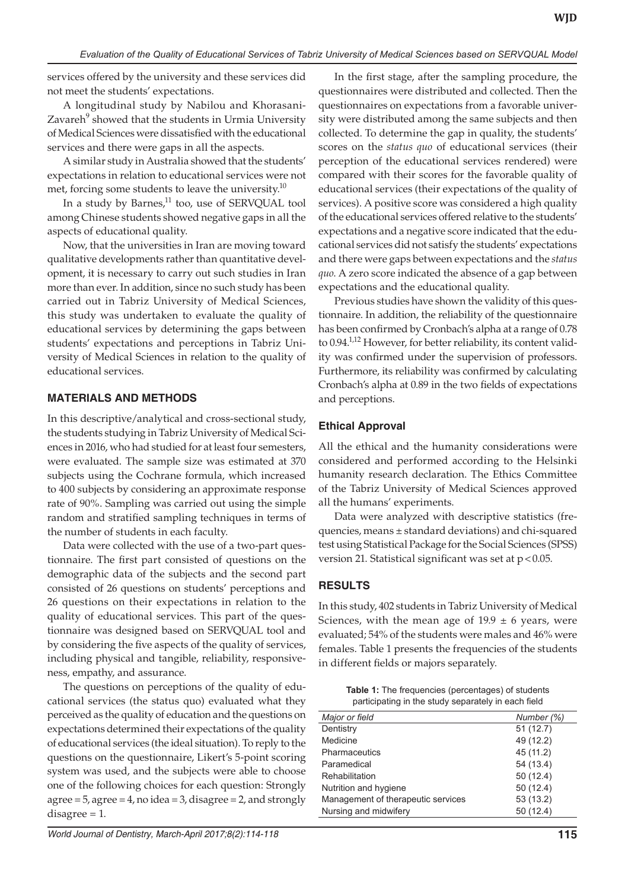services offered by the university and these services did not meet the students' expectations.

A longitudinal study by Nabilou and Khorasani-Zavareh<sup>9</sup> showed that the students in Urmia University of Medical Sciences were dissatisfied with the educational services and there were gaps in all the aspects.

A similar study in Australia showed that the students' expectations in relation to educational services were not met, forcing some students to leave the university.<sup>10</sup>

In a study by Barnes,<sup>11</sup> too, use of SERVQUAL tool among Chinese students showed negative gaps in all the aspects of educational quality.

Now, that the universities in Iran are moving toward qualitative developments rather than quantitative development, it is necessary to carry out such studies in Iran more than ever. In addition, since no such study has been carried out in Tabriz University of Medical Sciences, this study was undertaken to evaluate the quality of educational services by determining the gaps between students' expectations and perceptions in Tabriz University of Medical Sciences in relation to the quality of educational services.

### **MATERIALS AND METHODS**

In this descriptive/analytical and cross-sectional study, the students studying in Tabriz University of Medical Sciences in 2016, who had studied for at least four semesters, were evaluated. The sample size was estimated at 370 subjects using the Cochrane formula, which increased to 400 subjects by considering an approximate response rate of 90%. Sampling was carried out using the simple random and stratified sampling techniques in terms of the number of students in each faculty.

Data were collected with the use of a two-part questionnaire. The first part consisted of questions on the demographic data of the subjects and the second part consisted of 26 questions on students' perceptions and 26 questions on their expectations in relation to the quality of educational services. This part of the questionnaire was designed based on SERVQUAL tool and by considering the five aspects of the quality of services, including physical and tangible, reliability, responsiveness, empathy, and assurance.

The questions on perceptions of the quality of educational services (the status quo) evaluated what they perceived as the quality of education and the questions on expectations determined their expectations of the quality of educational services (the ideal situation). To reply to the questions on the questionnaire, Likert's 5-point scoring system was used, and the subjects were able to choose one of the following choices for each question: Strongly agree = 5, agree = 4, no idea = 3, disagree = 2, and strongly disagree = 1.

In the first stage, after the sampling procedure, the questionnaires were distributed and collected. Then the questionnaires on expectations from a favorable university were distributed among the same subjects and then collected. To determine the gap in quality, the students' scores on the *status quo* of educational services (their perception of the educational services rendered) were compared with their scores for the favorable quality of educational services (their expectations of the quality of services). A positive score was considered a high quality of the educational services offered relative to the students' expectations and a negative score indicated that the educational services did not satisfy the students' expectations and there were gaps between expectations and the *status quo*. A zero score indicated the absence of a gap between expectations and the educational quality.

Previous studies have shown the validity of this questionnaire. In addition, the reliability of the questionnaire has been confirmed by Cronbach's alpha at a range of 0.78 to 0.94.<sup>1,12</sup> However, for better reliability, its content validity was confirmed under the supervision of professors. Furthermore, its reliability was confirmed by calculating Cronbach's alpha at 0.89 in the two fields of expectations and perceptions.

## **Ethical Approval**

All the ethical and the humanity considerations were considered and performed according to the Helsinki humanity research declaration. The Ethics Committee of the Tabriz University of Medical Sciences approved all the humans' experiments.

Data were analyzed with descriptive statistics (frequencies, means ± standard deviations) and chi-squared test using Statistical Package for the Social Sciences (SPSS) version 21. Statistical significant was set at  $p < 0.05$ .

# **RESULTS**

In this study, 402 students in Tabriz University of Medical Sciences, with the mean age of  $19.9 \pm 6$  years, were evaluated; 54% of the students were males and 46% were females. Table 1 presents the frequencies of the students in different fields or majors separately.

**Table 1:** The frequencies (percentages) of students participating in the study separately in each field

| Major or field                     | Number (%) |
|------------------------------------|------------|
| Dentistry                          | 51(12.7)   |
| Medicine                           | 49 (12.2)  |
| Pharmaceutics                      | 45 (11.2)  |
| Paramedical                        | 54 (13.4)  |
| Rehabilitation                     | 50(12.4)   |
| Nutrition and hygiene              | 50(12.4)   |
| Management of therapeutic services | 53 (13.2)  |
| Nursing and midwifery              | 50 (12.4)  |
|                                    |            |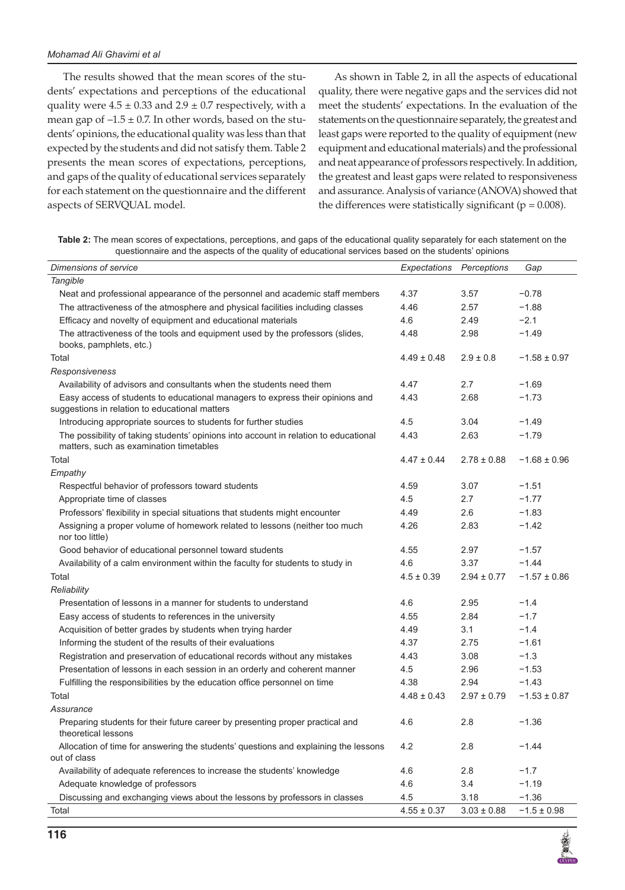The results showed that the mean scores of the students' expectations and perceptions of the educational quality were  $4.5 \pm 0.33$  and  $2.9 \pm 0.7$  respectively, with a mean gap of  $-1.5 \pm 0.7$ . In other words, based on the students' opinions, the educational quality was less than that expected by the students and did not satisfy them. Table 2 presents the mean scores of expectations, perceptions, and gaps of the quality of educational services separately for each statement on the questionnaire and the different aspects of SERVQUAL model.

As shown in Table 2, in all the aspects of educational quality, there were negative gaps and the services did not meet the students' expectations. In the evaluation of the statements on the questionnaire separately, the greatest and least gaps were reported to the quality of equipment (new equipment and educational materials) and the professional and neat appearance of professors respectively. In addition, the greatest and least gaps were related to responsiveness and assurance. Analysis of variance (ANOVA) showed that the differences were statistically significant ( $p = 0.008$ ).

**Table 2:** The mean scores of expectations, perceptions, and gaps of the educational quality separately for each statement on the questionnaire and the aspects of the quality of educational services based on the students' opinions

| <b>Dimensions of service</b>                                                                                                    | Expectations    | Perceptions     | Gap              |
|---------------------------------------------------------------------------------------------------------------------------------|-----------------|-----------------|------------------|
| Tangible                                                                                                                        |                 |                 |                  |
| Neat and professional appearance of the personnel and academic staff members                                                    | 4.37            | 3.57            | $-0.78$          |
| The attractiveness of the atmosphere and physical facilities including classes                                                  | 4.46            | 2.57            | $-1.88$          |
| Efficacy and novelty of equipment and educational materials                                                                     | 4.6             | 2.49            | $-2.1$           |
| The attractiveness of the tools and equipment used by the professors (slides,<br>books, pamphlets, etc.)                        | 4.48            | 2.98            | $-1.49$          |
| Total                                                                                                                           | $4.49 \pm 0.48$ | $2.9 \pm 0.8$   | $-1.58 \pm 0.97$ |
| Responsiveness                                                                                                                  |                 |                 |                  |
| Availability of advisors and consultants when the students need them                                                            | 4.47            | 2.7             | $-1.69$          |
| Easy access of students to educational managers to express their opinions and<br>suggestions in relation to educational matters | 4.43            | 2.68            | $-1.73$          |
| Introducing appropriate sources to students for further studies                                                                 | 4.5             | 3.04            | $-1.49$          |
| The possibility of taking students' opinions into account in relation to educational<br>matters, such as examination timetables | 4.43            | 2.63            | $-1.79$          |
| Total                                                                                                                           | $4.47 \pm 0.44$ | $2.78 \pm 0.88$ | $-1.68 \pm 0.96$ |
| Empathy                                                                                                                         |                 |                 |                  |
| Respectful behavior of professors toward students                                                                               | 4.59            | 3.07            | $-1.51$          |
| Appropriate time of classes                                                                                                     | 4.5             | 2.7             | $-1.77$          |
| Professors' flexibility in special situations that students might encounter                                                     | 4.49            | 2.6             | $-1.83$          |
| Assigning a proper volume of homework related to lessons (neither too much<br>nor too little)                                   | 4.26            | 2.83            | $-1.42$          |
| Good behavior of educational personnel toward students                                                                          | 4.55            | 2.97            | $-1.57$          |
| Availability of a calm environment within the faculty for students to study in                                                  | 4.6             | 3.37            | $-1.44$          |
| Total                                                                                                                           | $4.5 \pm 0.39$  | $2.94 \pm 0.77$ | $-1.57 \pm 0.86$ |
| Reliability                                                                                                                     |                 |                 |                  |
| Presentation of lessons in a manner for students to understand                                                                  | 4.6             | 2.95            | $-1.4$           |
| Easy access of students to references in the university                                                                         | 4.55            | 2.84            | $-1.7$           |
| Acquisition of better grades by students when trying harder                                                                     | 4.49            | 3.1             | $-1.4$           |
| Informing the student of the results of their evaluations                                                                       | 4.37            | 2.75            | $-1.61$          |
| Registration and preservation of educational records without any mistakes                                                       | 4.43            | 3.08            | $-1.3$           |
| Presentation of lessons in each session in an orderly and coherent manner                                                       | 4.5             | 2.96            | $-1.53$          |
| Fulfilling the responsibilities by the education office personnel on time                                                       | 4.38            | 2.94            | $-1.43$          |
| Total                                                                                                                           | $4.48 \pm 0.43$ | $2.97 \pm 0.79$ | $-1.53 \pm 0.87$ |
| Assurance                                                                                                                       |                 |                 |                  |
| Preparing students for their future career by presenting proper practical and<br>theoretical lessons                            | 4.6             | 2.8             | $-1.36$          |
| Allocation of time for answering the students' questions and explaining the lessons<br>out of class                             | 4.2             | 2.8             | $-1.44$          |
| Availability of adequate references to increase the students' knowledge                                                         | 4.6             | 2.8             | $-1.7$           |
| Adequate knowledge of professors                                                                                                | 4.6             | 3.4             | $-1.19$          |
| Discussing and exchanging views about the lessons by professors in classes                                                      | 4.5             | 3.18            | $-1.36$          |
| Total                                                                                                                           | $4.55 \pm 0.37$ | $3.03 \pm 0.88$ | $-1.5 \pm 0.98$  |

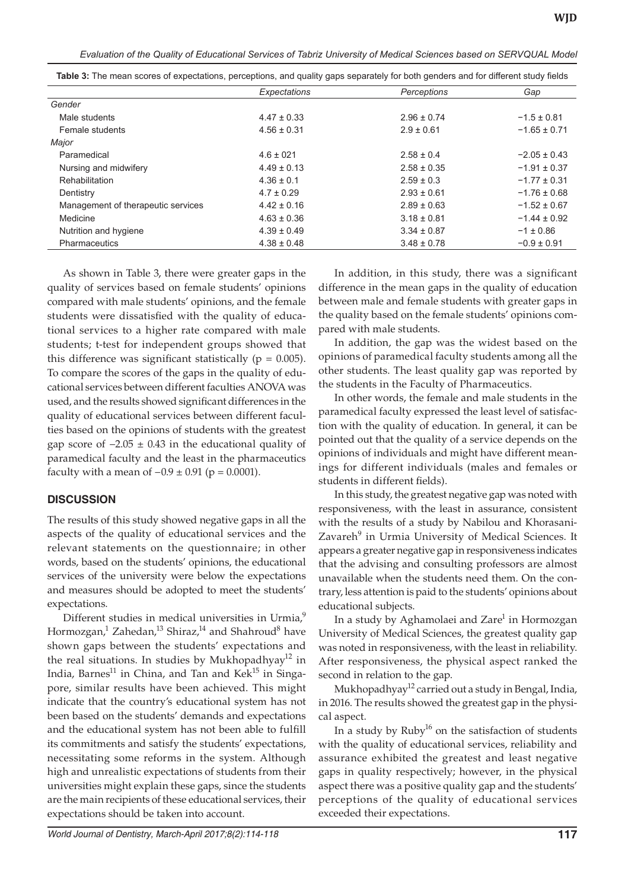*Evaluation of the Quality of Educational Services of Tabriz University of Medical Sciences based on SERVQUAL Model*

|                                    | Expectations    | Perceptions     | Gap              |
|------------------------------------|-----------------|-----------------|------------------|
| Gender                             |                 |                 |                  |
| Male students                      | $4.47 \pm 0.33$ | $2.96 \pm 0.74$ | $-1.5 \pm 0.81$  |
| Female students                    | $4.56 \pm 0.31$ | $2.9 \pm 0.61$  | $-1.65 \pm 0.71$ |
| Major                              |                 |                 |                  |
| Paramedical                        | $4.6 \pm 021$   | $2.58 \pm 0.4$  | $-2.05 \pm 0.43$ |
| Nursing and midwifery              | $4.49 \pm 0.13$ | $2.58 \pm 0.35$ | $-1.91 \pm 0.37$ |
| Rehabilitation                     | $4.36 \pm 0.1$  | $2.59 \pm 0.3$  | $-1.77 \pm 0.31$ |
| Dentistry                          | $4.7 \pm 0.29$  | $2.93 \pm 0.61$ | $-1.76 \pm 0.68$ |
| Management of therapeutic services | $4.42 \pm 0.16$ | $2.89 \pm 0.63$ | $-1.52 \pm 0.67$ |
| Medicine                           | $4.63 \pm 0.36$ | $3.18 \pm 0.81$ | $-1.44 \pm 0.92$ |
| Nutrition and hygiene              | $4.39 \pm 0.49$ | $3.34 \pm 0.87$ | $-1 \pm 0.86$    |
| <b>Pharmaceutics</b>               | $4.38 \pm 0.48$ | $3.48 \pm 0.78$ | $-0.9 \pm 0.91$  |

**Table 3:** The mean scores of expectations, perceptions, and quality gaps separately for both genders and for different study fields

As shown in Table 3, there were greater gaps in the quality of services based on female students' opinions compared with male students' opinions, and the female students were dissatisfied with the quality of educational services to a higher rate compared with male students; t-test for independent groups showed that this difference was significant statistically ( $p = 0.005$ ). To compare the scores of the gaps in the quality of educational services between different faculties ANOVA was used, and the results showed significant differences in the quality of educational services between different faculties based on the opinions of students with the greatest gap score of  $-2.05 \pm 0.43$  in the educational quality of paramedical faculty and the least in the pharmaceutics faculty with a mean of  $-0.9 \pm 0.91$  (p = 0.0001).

#### **DISCUSSION**

The results of this study showed negative gaps in all the aspects of the quality of educational services and the relevant statements on the questionnaire; in other words, based on the students' opinions, the educational services of the university were below the expectations and measures should be adopted to meet the students' expectations.

Different studies in medical universities in Urmia,<sup>9</sup> Hormozgan,<sup>1</sup> Zahedan,<sup>13</sup> Shiraz,<sup>14</sup> and Shahroud<sup>8</sup> have shown gaps between the students' expectations and the real situations. In studies by Mukhopadhyay $12$  in India, Barnes<sup>11</sup> in China, and Tan and Kek<sup>15</sup> in Singapore, similar results have been achieved. This might indicate that the country's educational system has not been based on the students' demands and expectations and the educational system has not been able to fulfill its commitments and satisfy the students' expectations, necessitating some reforms in the system. Although high and unrealistic expectations of students from their universities might explain these gaps, since the students are the main recipients of these educational services, their expectations should be taken into account.

In addition, in this study, there was a significant difference in the mean gaps in the quality of education between male and female students with greater gaps in the quality based on the female students' opinions compared with male students.

In addition, the gap was the widest based on the opinions of paramedical faculty students among all the other students. The least quality gap was reported by the students in the Faculty of Pharmaceutics.

In other words, the female and male students in the paramedical faculty expressed the least level of satisfaction with the quality of education. In general, it can be pointed out that the quality of a service depends on the opinions of individuals and might have different meanings for different individuals (males and females or students in different fields).

In this study, the greatest negative gap was noted with responsiveness, with the least in assurance, consistent with the results of a study by Nabilou and Khorasani-Zavareh<sup>9</sup> in Urmia University of Medical Sciences. It appears a greater negative gap in responsiveness indicates that the advising and consulting professors are almost unavailable when the students need them. On the contrary, less attention is paid to the students' opinions about educational subjects.

In a study by Aghamolaei and Zare $^1$  in Hormozgan University of Medical Sciences, the greatest quality gap was noted in responsiveness, with the least in reliability. After responsiveness, the physical aspect ranked the second in relation to the gap.

Mukhopadhyay<sup>12</sup> carried out a study in Bengal, India, in 2016. The results showed the greatest gap in the physical aspect.

In a study by  $Ruby^{16}$  on the satisfaction of students with the quality of educational services, reliability and assurance exhibited the greatest and least negative gaps in quality respectively; however, in the physical aspect there was a positive quality gap and the students' perceptions of the quality of educational services exceeded their expectations.